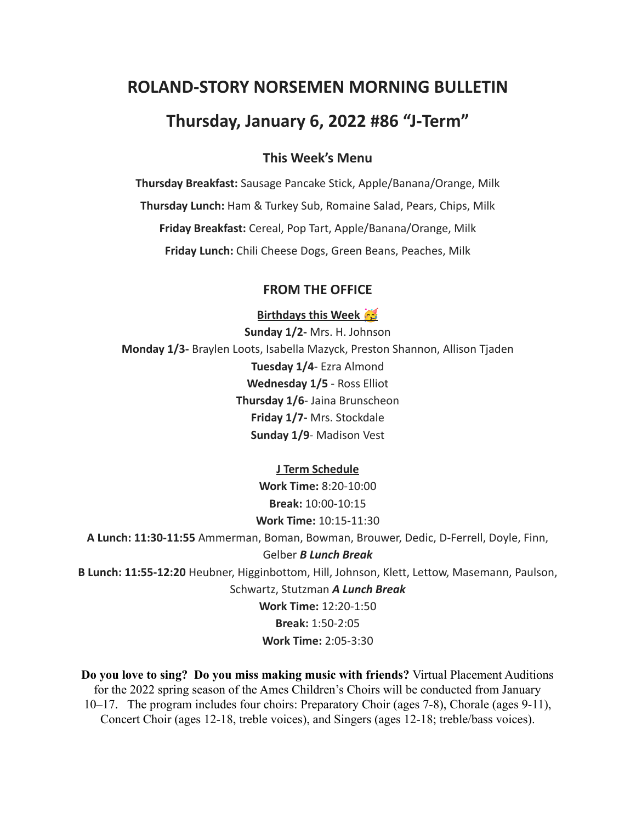# **ROLAND-STORY NORSEMEN MORNING BULLETIN**

# **Thursday, January 6, 2022 #86 "J-Term"**

### **This Week's Menu**

**Thursday Breakfast:** Sausage Pancake Stick, Apple/Banana/Orange, Milk **Thursday Lunch:** Ham & Turkey Sub, Romaine Salad, Pears, Chips, Milk **Friday Breakfast:** Cereal, Pop Tart, Apple/Banana/Orange, Milk **Friday Lunch:** Chili Cheese Dogs, Green Beans, Peaches, Milk

### **FROM THE OFFICE**

**Birthdays this Week** 

**Sunday 1/2-** Mrs. H. Johnson **Monday 1/3-** Braylen Loots, Isabella Mazyck, Preston Shannon, Allison Tjaden **Tuesday 1/4**- Ezra Almond **Wednesday 1/5** - Ross Elliot **Thursday 1/6**- Jaina Brunscheon **Friday 1/7-** Mrs. Stockdale **Sunday 1/9**- Madison Vest

#### **J Term Schedule**

**Work Time:** 8:20-10:00 **Break:** 10:00-10:15 **Work Time:** 10:15-11:30

**A Lunch: 11:30-11:55** Ammerman, Boman, Bowman, Brouwer, Dedic, D-Ferrell, Doyle, Finn,

### Gelber *B Lunch Break*

**B Lunch: 11:55-12:20** Heubner, Higginbottom, Hill, Johnson, Klett, Lettow, Masemann, Paulson, Schwartz, Stutzman *A Lunch Break*

> **Work Time:** 12:20-1:50 **Break:** 1:50-2:05 **Work Time:** 2:05-3:30

**Do you love to sing? Do you miss making music with friends?** Virtual Placement Auditions for the 2022 spring season of the Ames Children's Choirs will be conducted from January 10–17. The program includes four choirs: Preparatory Choir (ages 7-8), Chorale (ages 9-11), Concert Choir (ages 12-18, treble voices), and Singers (ages 12-18; treble/bass voices).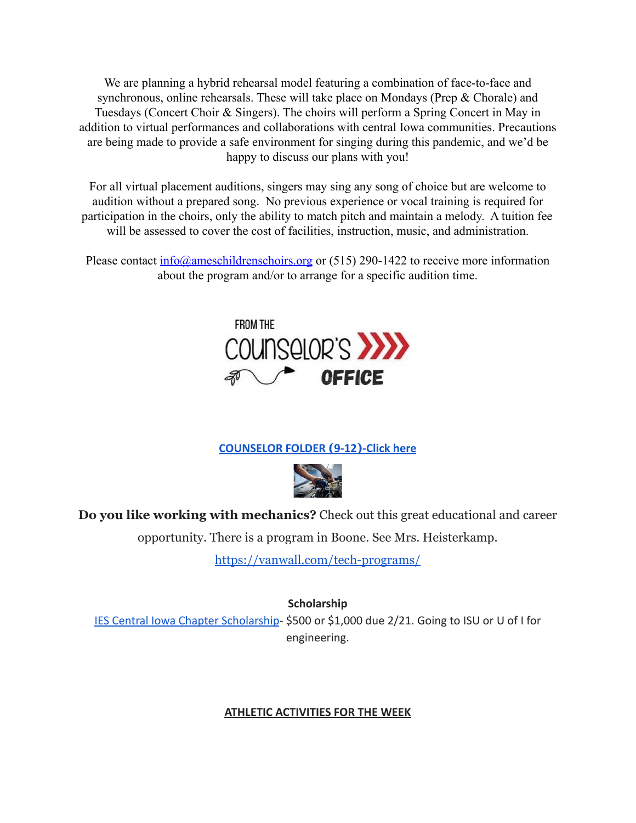We are planning a hybrid rehearsal model featuring a combination of face-to-face and synchronous, online rehearsals. These will take place on Mondays (Prep & Chorale) and Tuesdays (Concert Choir & Singers). The choirs will perform a Spring Concert in May in addition to virtual performances and collaborations with central Iowa communities. Precautions are being made to provide a safe environment for singing during this pandemic, and we'd be happy to discuss our plans with you!

For all virtual placement auditions, singers may sing any song of choice but are welcome to audition without a prepared song. No previous experience or vocal training is required for participation in the choirs, only the ability to match pitch and maintain a melody. A tuition fee will be assessed to cover the cost of facilities, instruction, music, and administration.

Please contact  $\frac{info(@ameschildrenschoirs.org}{info(@ambschoirs.org)}$  or (515) 290-1422 to receive more information about the program and/or to arrange for a specific audition time.



## **[COUNSELOR FOLDER](https://docs.google.com/document/d/1vmwczNPbDzXe9vFaG5LJMQ7NYDv-i4oQJHybqA65TUc/edit?usp=sharing) (9-12)-Click here**



**Do you like working with mechanics?** Check out this great educational and career

opportunity. There is a program in Boone. See Mrs. Heisterkamp.

<https://vanwall.com/tech-programs/>

**Scholarship**

[IES Central Iowa Chapter Scholarship](https://drive.google.com/file/d/1TOCO584mY9ObCqCNa6kBs_Yjrn4wPSdj/view?usp=sharing)- \$500 or \$1,000 due 2/21. Going to ISU or U of I for engineering.

### **ATHLETIC ACTIVITIES FOR THE WEEK**